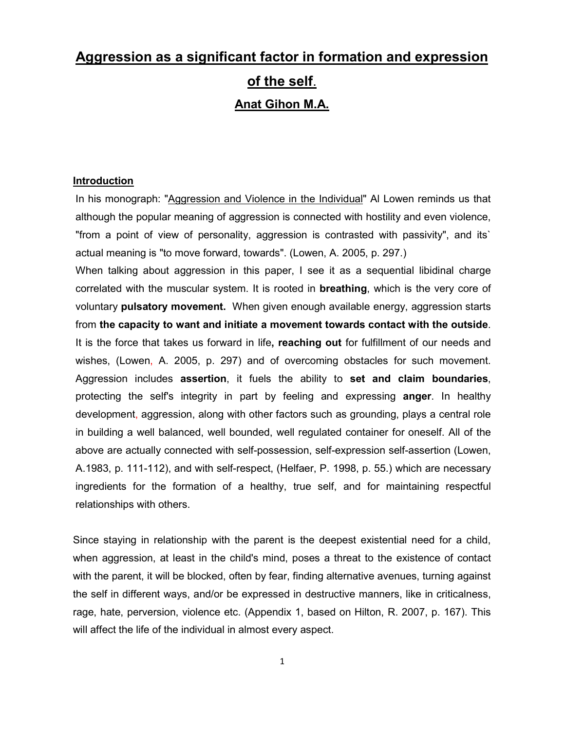# **Aggression as a significant factor in formation and expression of the self**. **Anat Gihon M.A.**

## **Introduction**

In his monograph: "Aggression and Violence in the Individual" Al Lowen reminds us that although the popular meaning of aggression is connected with hostility and even violence, "from a point of view of personality, aggression is contrasted with passivity", and its` actual meaning is "to move forward, towards". (Lowen, A. 2005, p. 297.)

When talking about aggression in this paper, I see it as a sequential libidinal charge correlated with the muscular system. It is rooted in **breathing**, which is the very core of voluntary **pulsatory movement.** When given enough available energy, aggression starts from **the capacity to want and initiate a movement towards contact with the outside**. It is the force that takes us forward in life**, reaching out** for fulfillment of our needs and wishes, (Lowen, A. 2005, p. 297) and of overcoming obstacles for such movement. Aggression includes **assertion**, it fuels the ability to **set and claim boundaries**, protecting the self's integrity in part by feeling and expressing **anger**. In healthy development, aggression, along with other factors such as grounding, plays a central role in building a well balanced, well bounded, well regulated container for oneself. All of the above are actually connected with self-possession, self-expression self-assertion (Lowen, A.1983, p. 111-112), and with self-respect, (Helfaer, P. 1998, p. 55.) which are necessary ingredients for the formation of a healthy, true self, and for maintaining respectful relationships with others.

Since staying in relationship with the parent is the deepest existential need for a child, when aggression, at least in the child's mind, poses a threat to the existence of contact with the parent, it will be blocked, often by fear, finding alternative avenues, turning against the self in different ways, and/or be expressed in destructive manners, like in criticalness, rage, hate, perversion, violence etc. (Appendix 1, based on Hilton, R. 2007, p. 167). This will affect the life of the individual in almost every aspect.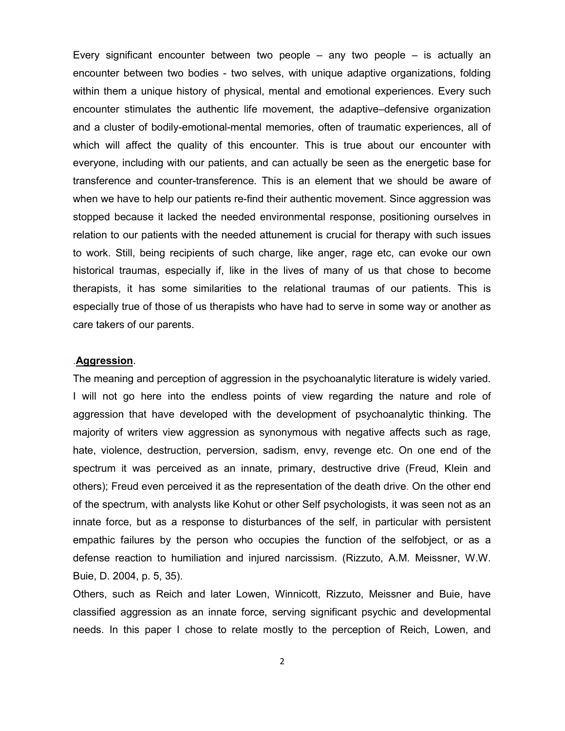Every significant encounter between two people – any two people – is actually an encounter between two bodies - two selves, with unique adaptive organizations, folding within them a unique history of physical, mental and emotional experiences. Every such encounter stimulates the authentic life movement, the adaptive–defensive organization and a cluster of bodily-emotional-mental memories, often of traumatic experiences, all of which will affect the quality of this encounter. This is true about our encounter with everyone, including with our patients, and can actually be seen as the energetic base for transference and counter-transference. This is an element that we should be aware of when we have to help our patients re-find their authentic movement. Since aggression was stopped because it lacked the needed environmental response, positioning ourselves in relation to our patients with the needed attunement is crucial for therapy with such issues to work. Still, being recipients of such charge, like anger, rage etc, can evoke our own historical traumas, especially if, like in the lives of many of us that chose to become therapists, it has some similarities to the relational traumas of our patients. This is especially true of those of us therapists who have had to serve in some way or another as care takers of our parents.

## .**Aggression**.

The meaning and perception of aggression in the psychoanalytic literature is widely varied. I will not go here into the endless points of view regarding the nature and role of aggression that have developed with the development of psychoanalytic thinking. The majority of writers view aggression as synonymous with negative affects such as rage, hate, violence, destruction, perversion, sadism, envy, revenge etc. On one end of the spectrum it was perceived as an innate, primary, destructive drive (Freud, Klein and others); Freud even perceived it as the representation of the death drive. On the other end of the spectrum, with analysts like Kohut or other Self psychologists, it was seen not as an innate force, but as a response to disturbances of the self, in particular with persistent empathic failures by the person who occupies the function of the selfobject, or as a defense reaction to humiliation and injured narcissism. (Rizzuto, A.M. Meissner, W.W. Buie, D. 2004, p. 5, 35).

Others, such as Reich and later Lowen, Winnicott, Rizzuto, Meissner and Buie, have classified aggression as an innate force, serving significant psychic and developmental needs. In this paper I chose to relate mostly to the perception of Reich, Lowen, and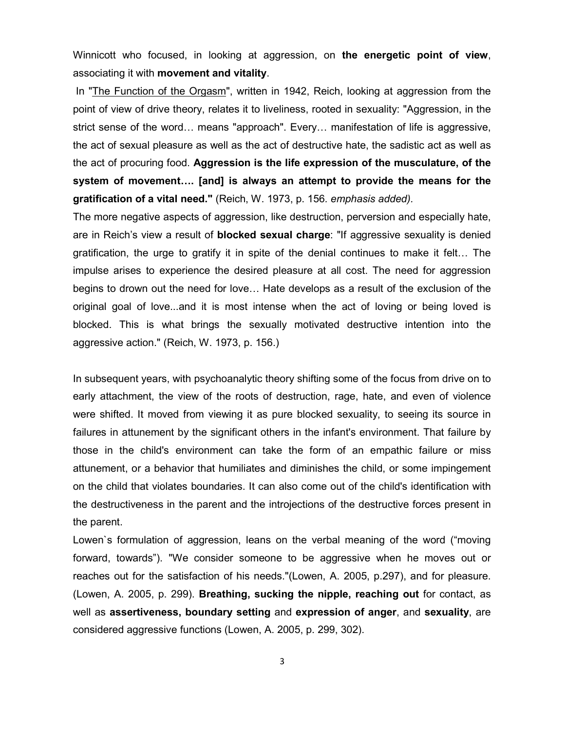Winnicott who focused, in looking at aggression, on **the energetic point of view**, associating it with **movement and vitality**.

In "The Function of the Orgasm", written in 1942, Reich, looking at aggression from the point of view of drive theory, relates it to liveliness, rooted in sexuality: "Aggression, in the strict sense of the word… means "approach". Every… manifestation of life is aggressive, the act of sexual pleasure as well as the act of destructive hate, the sadistic act as well as the act of procuring food. **Aggression is the life expression of the musculature, of the system of movement…. [and] is always an attempt to provide the means for the gratification of a vital need."** (Reich, W. 1973, p. 156*. emphasis added).*

The more negative aspects of aggression, like destruction, perversion and especially hate, are in Reich's view a result of **blocked sexual charge**: "If aggressive sexuality is denied gratification, the urge to gratify it in spite of the denial continues to make it felt… The impulse arises to experience the desired pleasure at all cost. The need for aggression begins to drown out the need for love… Hate develops as a result of the exclusion of the original goal of love...and it is most intense when the act of loving or being loved is blocked. This is what brings the sexually motivated destructive intention into the aggressive action." (Reich, W. 1973, p. 156.)

In subsequent years, with psychoanalytic theory shifting some of the focus from drive on to early attachment, the view of the roots of destruction, rage, hate, and even of violence were shifted. It moved from viewing it as pure blocked sexuality, to seeing its source in failures in attunement by the significant others in the infant's environment. That failure by those in the child's environment can take the form of an empathic failure or miss attunement, or a behavior that humiliates and diminishes the child, or some impingement on the child that violates boundaries. It can also come out of the child's identification with the destructiveness in the parent and the introjections of the destructive forces present in the parent.

Lowen`s formulation of aggression, leans on the verbal meaning of the word ("moving forward, towards"). "We consider someone to be aggressive when he moves out or reaches out for the satisfaction of his needs."(Lowen, A. 2005, p.297), and for pleasure. (Lowen, A. 2005, p. 299). **Breathing, sucking the nipple, reaching out** for contact, as well as **assertiveness, boundary setting** and **expression of anger**, and **sexuality**, are considered aggressive functions (Lowen, A. 2005, p. 299, 302).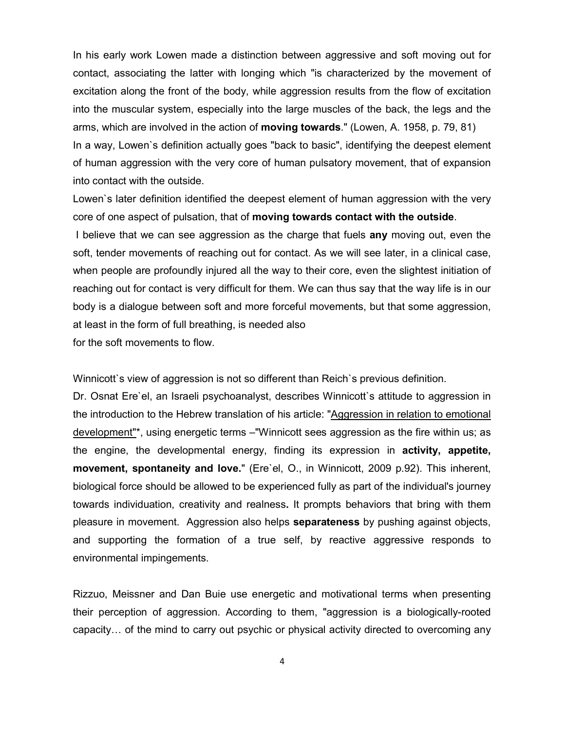In his early work Lowen made a distinction between aggressive and soft moving out for contact, associating the latter with longing which "is characterized by the movement of excitation along the front of the body, while aggression results from the flow of excitation into the muscular system, especially into the large muscles of the back, the legs and the arms, which are involved in the action of **moving towards**." (Lowen, A. 1958, p. 79, 81) In a way, Lowen`s definition actually goes "back to basic", identifying the deepest element of human aggression with the very core of human pulsatory movement, that of expansion into contact with the outside.

Lowen`s later definition identified the deepest element of human aggression with the very core of one aspect of pulsation, that of **moving towards contact with the outside**.

I believe that we can see aggression as the charge that fuels **any** moving out, even the soft, tender movements of reaching out for contact. As we will see later, in a clinical case, when people are profoundly injured all the way to their core, even the slightest initiation of reaching out for contact is very difficult for them. We can thus say that the way life is in our body is a dialogue between soft and more forceful movements, but that some aggression, at least in the form of full breathing, is needed also

for the soft movements to flow.

Winnicott`s view of aggression is not so different than Reich`s previous definition.

Dr. Osnat Ere`el, an Israeli psychoanalyst, describes Winnicott`s attitude to aggression in the introduction to the Hebrew translation of his article: "Aggression in relation to emotional development"\*, using energetic terms –"Winnicott sees aggression as the fire within us; as the engine, the developmental energy, finding its expression in **activity, appetite, movement, spontaneity and love.**" (Ere`el, O., in Winnicott, 2009 p.92). This inherent, biological force should be allowed to be experienced fully as part of the individual's journey towards individuation, creativity and realness**.** It prompts behaviors that bring with them pleasure in movement. Aggression also helps **separateness** by pushing against objects, and supporting the formation of a true self, by reactive aggressive responds to environmental impingements.

Rizzuo, Meissner and Dan Buie use energetic and motivational terms when presenting their perception of aggression. According to them, "aggression is a biologically-rooted capacity… of the mind to carry out psychic or physical activity directed to overcoming any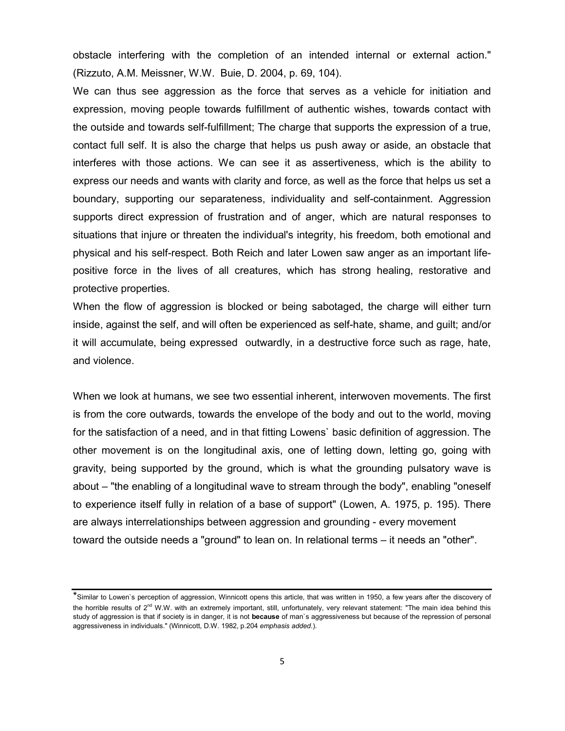obstacle interfering with the completion of an intended internal or external action." (Rizzuto, A.M. Meissner, W.W. Buie, D. 2004, p. 69, 104).

We can thus see aggression as the force that serves as a vehicle for initiation and expression, moving people towards fulfillment of authentic wishes, towards contact with the outside and towards self-fulfillment; The charge that supports the expression of a true, contact full self. It is also the charge that helps us push away or aside, an obstacle that interferes with those actions. We can see it as assertiveness, which is the ability to express our needs and wants with clarity and force, as well as the force that helps us set a boundary, supporting our separateness, individuality and self-containment. Aggression supports direct expression of frustration and of anger, which are natural responses to situations that injure or threaten the individual's integrity, his freedom, both emotional and physical and his self-respect. Both Reich and later Lowen saw anger as an important lifepositive force in the lives of all creatures, which has strong healing, restorative and protective properties.

When the flow of aggression is blocked or being sabotaged, the charge will either turn inside, against the self, and will often be experienced as self-hate, shame, and guilt; and/or it will accumulate, being expressed outwardly, in a destructive force such as rage, hate, and violence.

When we look at humans, we see two essential inherent, interwoven movements. The first is from the core outwards, towards the envelope of the body and out to the world, moving for the satisfaction of a need, and in that fitting Lowens` basic definition of aggression. The other movement is on the longitudinal axis, one of letting down, letting go, going with gravity, being supported by the ground, which is what the grounding pulsatory wave is about – "the enabling of a longitudinal wave to stream through the body", enabling "oneself to experience itself fully in relation of a base of support" (Lowen, A. 1975, p. 195). There are always interrelationships between aggression and grounding - every movement toward the outside needs a "ground" to lean on. In relational terms – it needs an "other".

<sup>\*</sup>Similar to Lowen`s perception of aggression, Winnicott opens this article, that was written in 1950, a few years after the discovery of the horrible results of  $2<sup>nd</sup>$  W.W. with an extremely important, still, unfortunately, very relevant statement: "The main idea behind this study of aggression is that if society is in danger, it is not **because** of man`s aggressiveness but because of the repression of personal aggressiveness in individuals." (Winnicott, D.W. 1982, p.204 *emphasis added*.).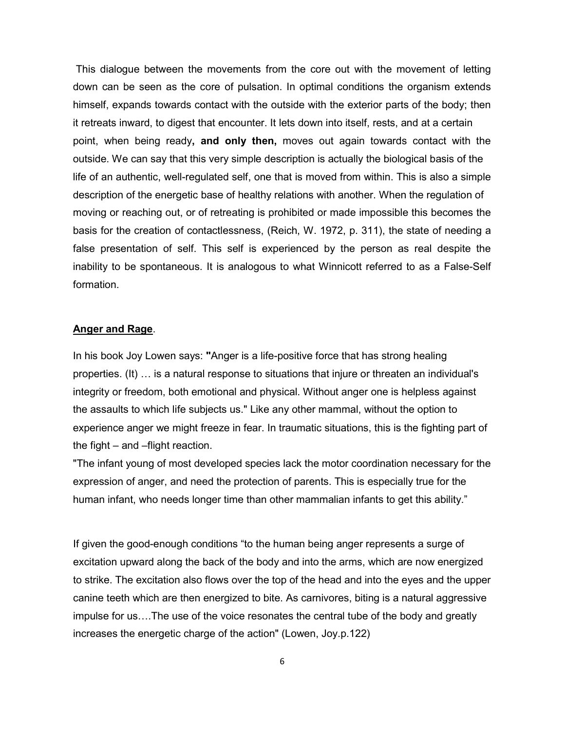This dialogue between the movements from the core out with the movement of letting down can be seen as the core of pulsation. In optimal conditions the organism extends himself, expands towards contact with the outside with the exterior parts of the body; then it retreats inward, to digest that encounter. It lets down into itself, rests, and at a certain point, when being ready**, and only then,** moves out again towards contact with the outside. We can say that this very simple description is actually the biological basis of the life of an authentic, well-regulated self, one that is moved from within. This is also a simple description of the energetic base of healthy relations with another. When the regulation of moving or reaching out, or of retreating is prohibited or made impossible this becomes the basis for the creation of contactlessness, (Reich, W. 1972, p. 311), the state of needing a false presentation of self. This self is experienced by the person as real despite the inability to be spontaneous. It is analogous to what Winnicott referred to as a False-Self formation.

## **Anger and Rage**.

In his book Joy Lowen says: **"**Anger is a life-positive force that has strong healing properties. (It) … is a natural response to situations that injure or threaten an individual's integrity or freedom, both emotional and physical. Without anger one is helpless against the assaults to which life subjects us." Like any other mammal, without the option to experience anger we might freeze in fear. In traumatic situations, this is the fighting part of the fight – and –flight reaction.

"The infant young of most developed species lack the motor coordination necessary for the expression of anger, and need the protection of parents. This is especially true for the human infant, who needs longer time than other mammalian infants to get this ability."

If given the good-enough conditions "to the human being anger represents a surge of excitation upward along the back of the body and into the arms, which are now energized to strike. The excitation also flows over the top of the head and into the eyes and the upper canine teeth which are then energized to bite. As carnivores, biting is a natural aggressive impulse for us….The use of the voice resonates the central tube of the body and greatly increases the energetic charge of the action" (Lowen, Joy.p.122)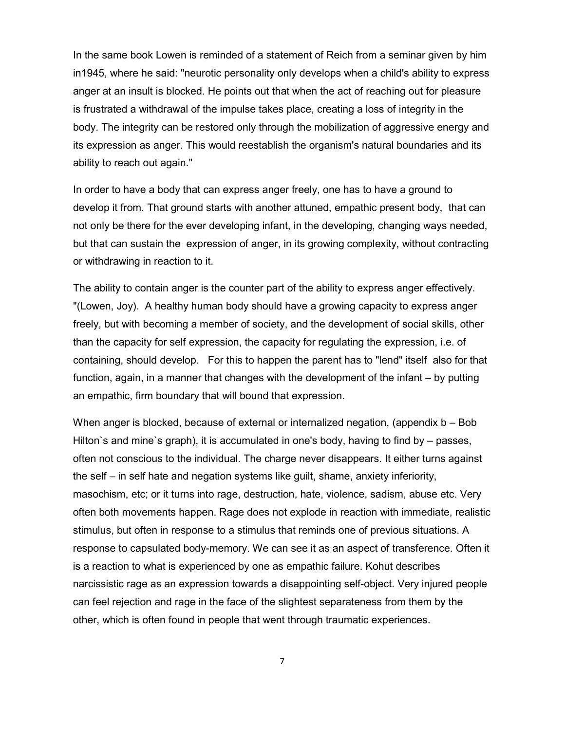In the same book Lowen is reminded of a statement of Reich from a seminar given by him in1945, where he said: "neurotic personality only develops when a child's ability to express anger at an insult is blocked. He points out that when the act of reaching out for pleasure is frustrated a withdrawal of the impulse takes place, creating a loss of integrity in the body. The integrity can be restored only through the mobilization of aggressive energy and its expression as anger. This would reestablish the organism's natural boundaries and its ability to reach out again."

In order to have a body that can express anger freely, one has to have a ground to develop it from. That ground starts with another attuned, empathic present body, that can not only be there for the ever developing infant, in the developing, changing ways needed, but that can sustain the expression of anger, in its growing complexity, without contracting or withdrawing in reaction to it.

The ability to contain anger is the counter part of the ability to express anger effectively. "(Lowen, Joy). A healthy human body should have a growing capacity to express anger freely, but with becoming a member of society, and the development of social skills, other than the capacity for self expression, the capacity for regulating the expression, i.e. of containing, should develop. For this to happen the parent has to "lend" itself also for that function, again, in a manner that changes with the development of the infant – by putting an empathic, firm boundary that will bound that expression.

When anger is blocked, because of external or internalized negation, (appendix b – Bob Hilton`s and mine`s graph), it is accumulated in one's body, having to find by – passes, often not conscious to the individual. The charge never disappears. It either turns against the self – in self hate and negation systems like guilt, shame, anxiety inferiority, masochism, etc; or it turns into rage, destruction, hate, violence, sadism, abuse etc. Very often both movements happen. Rage does not explode in reaction with immediate, realistic stimulus, but often in response to a stimulus that reminds one of previous situations. A response to capsulated body-memory. We can see it as an aspect of transference. Often it is a reaction to what is experienced by one as empathic failure. Kohut describes narcissistic rage as an expression towards a disappointing self-object. Very injured people can feel rejection and rage in the face of the slightest separateness from them by the other, which is often found in people that went through traumatic experiences.

7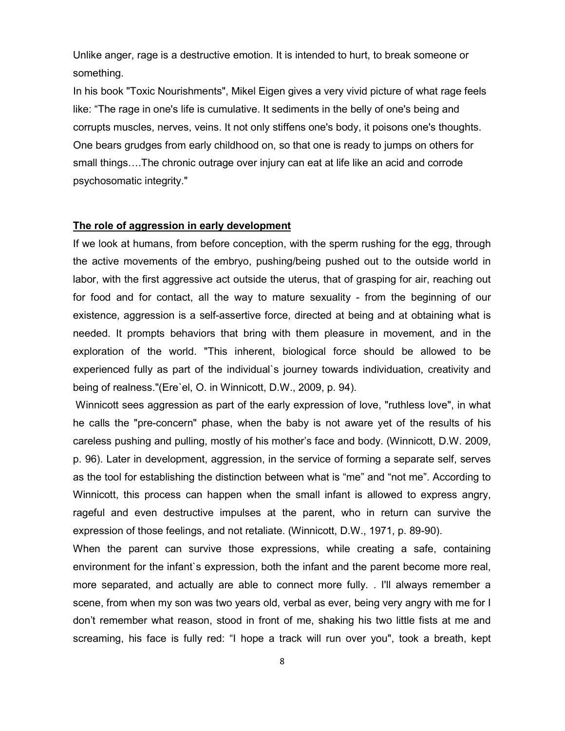Unlike anger, rage is a destructive emotion. It is intended to hurt, to break someone or something.

In his book "Toxic Nourishments", Mikel Eigen gives a very vivid picture of what rage feels like: "The rage in one's life is cumulative. It sediments in the belly of one's being and corrupts muscles, nerves, veins. It not only stiffens one's body, it poisons one's thoughts. One bears grudges from early childhood on, so that one is ready to jumps on others for small things….The chronic outrage over injury can eat at life like an acid and corrode psychosomatic integrity."

## **The role of aggression in early development**

If we look at humans, from before conception, with the sperm rushing for the egg, through the active movements of the embryo, pushing/being pushed out to the outside world in labor, with the first aggressive act outside the uterus, that of grasping for air, reaching out for food and for contact, all the way to mature sexuality - from the beginning of our existence, aggression is a self-assertive force, directed at being and at obtaining what is needed. It prompts behaviors that bring with them pleasure in movement, and in the exploration of the world. "This inherent, biological force should be allowed to be experienced fully as part of the individual`s journey towards individuation, creativity and being of realness."(Ere`el, O. in Winnicott, D.W., 2009, p. 94).

Winnicott sees aggression as part of the early expression of love, "ruthless love", in what he calls the "pre-concern" phase, when the baby is not aware yet of the results of his careless pushing and pulling, mostly of his mother's face and body. (Winnicott, D.W. 2009, p. 96). Later in development, aggression, in the service of forming a separate self, serves as the tool for establishing the distinction between what is "me" and "not me". According to Winnicott, this process can happen when the small infant is allowed to express angry, rageful and even destructive impulses at the parent, who in return can survive the expression of those feelings, and not retaliate. (Winnicott, D.W., 1971, p. 89-90).

When the parent can survive those expressions, while creating a safe, containing environment for the infant`s expression, both the infant and the parent become more real, more separated, and actually are able to connect more fully. . I'll always remember a scene, from when my son was two years old, verbal as ever, being very angry with me for I don't remember what reason, stood in front of me, shaking his two little fists at me and screaming, his face is fully red: "I hope a track will run over you", took a breath, kept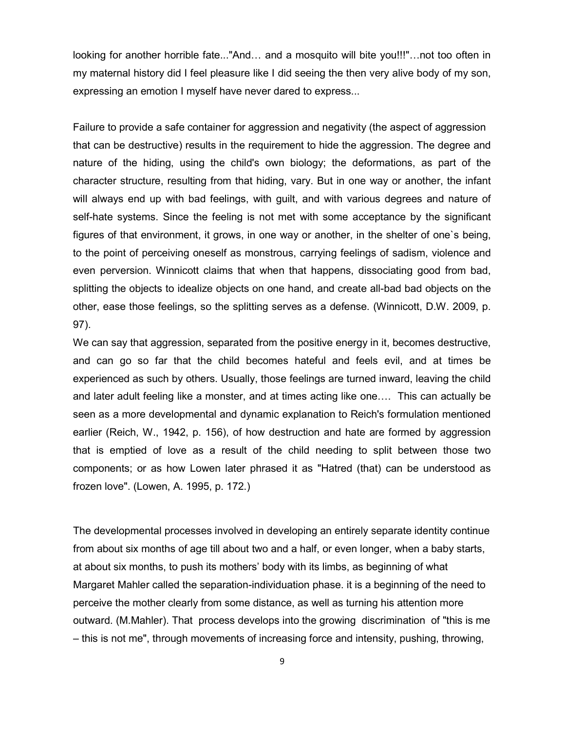looking for another horrible fate..."And… and a mosquito will bite you!!!"…not too often in my maternal history did I feel pleasure like I did seeing the then very alive body of my son, expressing an emotion I myself have never dared to express...

Failure to provide a safe container for aggression and negativity (the aspect of aggression that can be destructive) results in the requirement to hide the aggression. The degree and nature of the hiding, using the child's own biology; the deformations, as part of the character structure, resulting from that hiding, vary. But in one way or another, the infant will always end up with bad feelings, with guilt, and with various degrees and nature of self-hate systems. Since the feeling is not met with some acceptance by the significant figures of that environment, it grows, in one way or another, in the shelter of one`s being, to the point of perceiving oneself as monstrous, carrying feelings of sadism, violence and even perversion. Winnicott claims that when that happens, dissociating good from bad, splitting the objects to idealize objects on one hand, and create all-bad bad objects on the other, ease those feelings, so the splitting serves as a defense. (Winnicott, D.W. 2009, p. 97).

We can say that aggression, separated from the positive energy in it, becomes destructive, and can go so far that the child becomes hateful and feels evil, and at times be experienced as such by others. Usually, those feelings are turned inward, leaving the child and later adult feeling like a monster, and at times acting like one…. This can actually be seen as a more developmental and dynamic explanation to Reich's formulation mentioned earlier (Reich, W., 1942, p. 156), of how destruction and hate are formed by aggression that is emptied of love as a result of the child needing to split between those two components; or as how Lowen later phrased it as "Hatred (that) can be understood as frozen love". (Lowen, A. 1995, p. 172.)

The developmental processes involved in developing an entirely separate identity continue from about six months of age till about two and a half, or even longer, when a baby starts, at about six months, to push its mothers' body with its limbs, as beginning of what Margaret Mahler called the separation-individuation phase. it is a beginning of the need to perceive the mother clearly from some distance, as well as turning his attention more outward. (M.Mahler). That process develops into the growing discrimination of "this is me – this is not me", through movements of increasing force and intensity, pushing, throwing,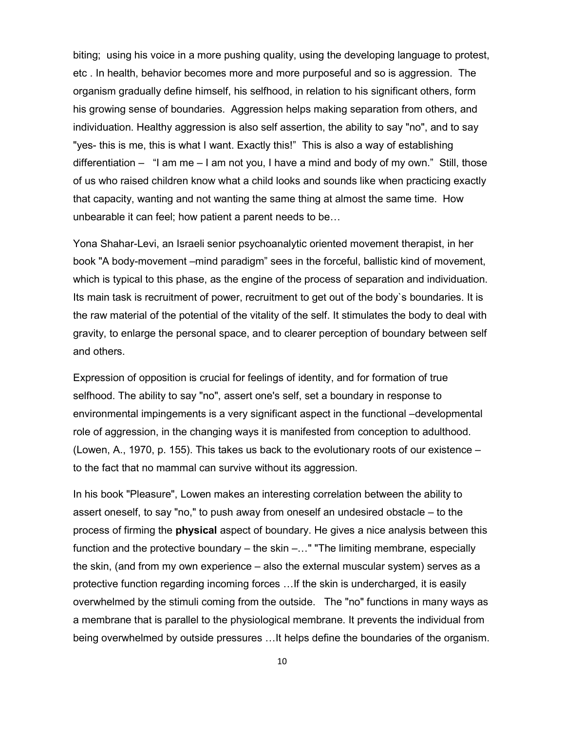biting; using his voice in a more pushing quality, using the developing language to protest, etc . In health, behavior becomes more and more purposeful and so is aggression. The organism gradually define himself, his selfhood, in relation to his significant others, form his growing sense of boundaries. Aggression helps making separation from others, and individuation. Healthy aggression is also self assertion, the ability to say "no", and to say "yes- this is me, this is what I want. Exactly this!" This is also a way of establishing differentiation – "I am me – I am not you, I have a mind and body of my own." Still, those of us who raised children know what a child looks and sounds like when practicing exactly that capacity, wanting and not wanting the same thing at almost the same time. How unbearable it can feel; how patient a parent needs to be…

Yona Shahar-Levi, an Israeli senior psychoanalytic oriented movement therapist, in her book "A body-movement –mind paradigm" sees in the forceful, ballistic kind of movement, which is typical to this phase, as the engine of the process of separation and individuation. Its main task is recruitment of power, recruitment to get out of the body`s boundaries. It is the raw material of the potential of the vitality of the self. It stimulates the body to deal with gravity, to enlarge the personal space, and to clearer perception of boundary between self and others.

Expression of opposition is crucial for feelings of identity, and for formation of true selfhood. The ability to say "no", assert one's self, set a boundary in response to environmental impingements is a very significant aspect in the functional –developmental role of aggression, in the changing ways it is manifested from conception to adulthood. (Lowen, A., 1970, p. 155). This takes us back to the evolutionary roots of our existence – to the fact that no mammal can survive without its aggression.

In his book "Pleasure", Lowen makes an interesting correlation between the ability to assert oneself, to say "no," to push away from oneself an undesired obstacle – to the process of firming the **physical** aspect of boundary. He gives a nice analysis between this function and the protective boundary – the skin –..." "The limiting membrane, especially the skin, (and from my own experience – also the external muscular system) serves as a protective function regarding incoming forces …If the skin is undercharged, it is easily overwhelmed by the stimuli coming from the outside. The "no" functions in many ways as a membrane that is parallel to the physiological membrane. It prevents the individual from being overwhelmed by outside pressures …It helps define the boundaries of the organism.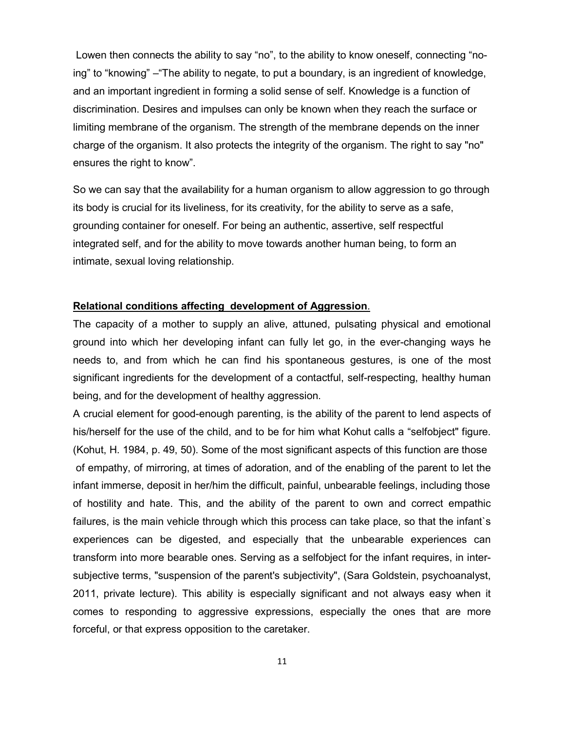Lowen then connects the ability to say "no", to the ability to know oneself, connecting "noing" to "knowing" –"The ability to negate, to put a boundary, is an ingredient of knowledge, and an important ingredient in forming a solid sense of self. Knowledge is a function of discrimination. Desires and impulses can only be known when they reach the surface or limiting membrane of the organism. The strength of the membrane depends on the inner charge of the organism. It also protects the integrity of the organism. The right to say "no" ensures the right to know".

So we can say that the availability for a human organism to allow aggression to go through its body is crucial for its liveliness, for its creativity, for the ability to serve as a safe, grounding container for oneself. For being an authentic, assertive, self respectful integrated self, and for the ability to move towards another human being, to form an intimate, sexual loving relationship.

## **Relational conditions affecting development of Aggression**.

The capacity of a mother to supply an alive, attuned, pulsating physical and emotional ground into which her developing infant can fully let go, in the ever-changing ways he needs to, and from which he can find his spontaneous gestures, is one of the most significant ingredients for the development of a contactful, self-respecting, healthy human being, and for the development of healthy aggression.

A crucial element for good-enough parenting, is the ability of the parent to lend aspects of his/herself for the use of the child, and to be for him what Kohut calls a "selfobject" figure. (Kohut, H. 1984, p. 49, 50). Some of the most significant aspects of this function are those of empathy, of mirroring, at times of adoration, and of the enabling of the parent to let the infant immerse, deposit in her/him the difficult, painful, unbearable feelings, including those of hostility and hate. This, and the ability of the parent to own and correct empathic failures, is the main vehicle through which this process can take place, so that the infant`s experiences can be digested, and especially that the unbearable experiences can transform into more bearable ones. Serving as a selfobject for the infant requires, in intersubjective terms, "suspension of the parent's subjectivity", (Sara Goldstein, psychoanalyst, 2011, private lecture). This ability is especially significant and not always easy when it comes to responding to aggressive expressions, especially the ones that are more forceful, or that express opposition to the caretaker.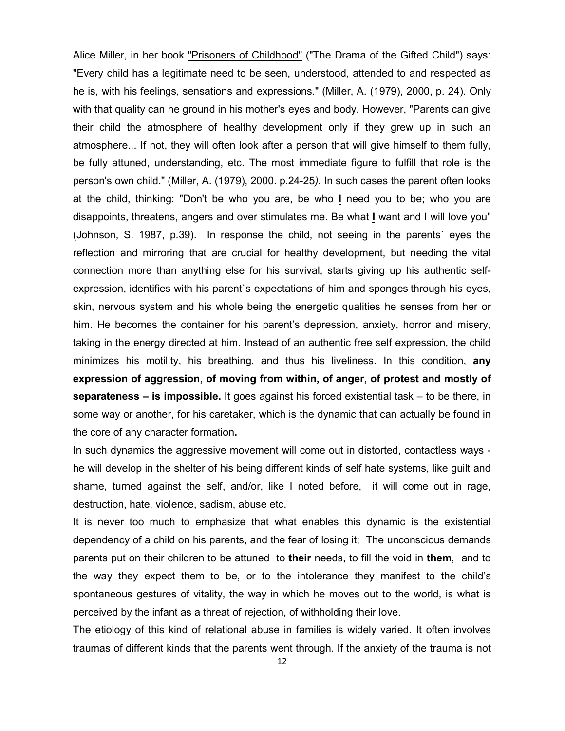Alice Miller, in her book "Prisoners of Childhood" ("The Drama of the Gifted Child") says: "Every child has a legitimate need to be seen, understood, attended to and respected as he is, with his feelings, sensations and expressions." (Miller, A. (1979), 2000, p. 24). Only with that quality can he ground in his mother's eyes and body. However, "Parents can give their child the atmosphere of healthy development only if they grew up in such an atmosphere... If not, they will often look after a person that will give himself to them fully, be fully attuned, understanding, etc. The most immediate figure to fulfill that role is the person's own child." (Miller, A. (1979), 2000. p.24-25*).* In such cases the parent often looks at the child, thinking: "Don't be who you are, be who **I** need you to be; who you are disappoints, threatens, angers and over stimulates me. Be what **I** want and I will love you" (Johnson, S. 1987, p.39). In response the child, not seeing in the parents` eyes the reflection and mirroring that are crucial for healthy development, but needing the vital connection more than anything else for his survival, starts giving up his authentic selfexpression, identifies with his parent`s expectations of him and sponges through his eyes, skin, nervous system and his whole being the energetic qualities he senses from her or him. He becomes the container for his parent's depression, anxiety, horror and misery, taking in the energy directed at him. Instead of an authentic free self expression, the child minimizes his motility, his breathing, and thus his liveliness. In this condition, **any expression of aggression, of moving from within, of anger, of protest and mostly of separateness – is impossible.** It goes against his forced existential task – to be there, in some way or another, for his caretaker, which is the dynamic that can actually be found in the core of any character formation**.**

In such dynamics the aggressive movement will come out in distorted, contactless ways he will develop in the shelter of his being different kinds of self hate systems, like guilt and shame, turned against the self, and/or, like I noted before, it will come out in rage, destruction, hate, violence, sadism, abuse etc.

It is never too much to emphasize that what enables this dynamic is the existential dependency of a child on his parents, and the fear of losing it; The unconscious demands parents put on their children to be attuned to **their** needs, to fill the void in **them**, and to the way they expect them to be, or to the intolerance they manifest to the child's spontaneous gestures of vitality, the way in which he moves out to the world, is what is perceived by the infant as a threat of rejection, of withholding their love.

The etiology of this kind of relational abuse in families is widely varied. It often involves traumas of different kinds that the parents went through. If the anxiety of the trauma is not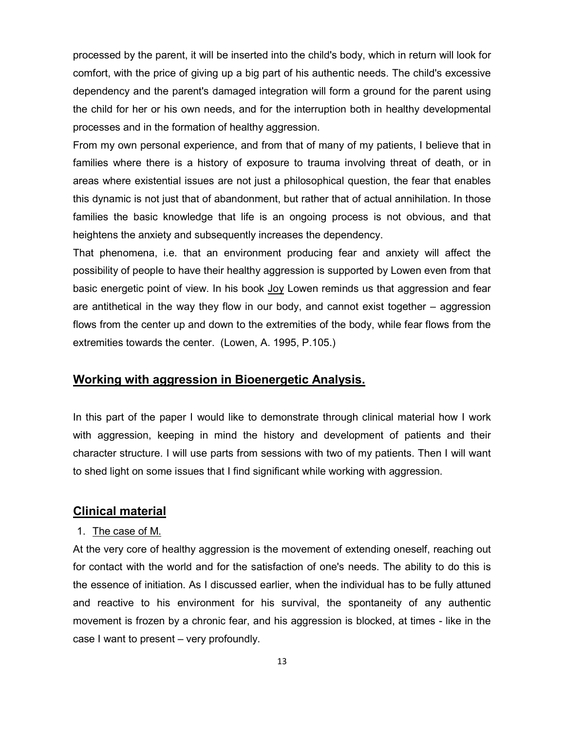processed by the parent, it will be inserted into the child's body, which in return will look for comfort, with the price of giving up a big part of his authentic needs. The child's excessive dependency and the parent's damaged integration will form a ground for the parent using the child for her or his own needs, and for the interruption both in healthy developmental processes and in the formation of healthy aggression.

From my own personal experience, and from that of many of my patients, I believe that in families where there is a history of exposure to trauma involving threat of death, or in areas where existential issues are not just a philosophical question, the fear that enables this dynamic is not just that of abandonment, but rather that of actual annihilation. In those families the basic knowledge that life is an ongoing process is not obvious, and that heightens the anxiety and subsequently increases the dependency.

That phenomena, i.e. that an environment producing fear and anxiety will affect the possibility of people to have their healthy aggression is supported by Lowen even from that basic energetic point of view. In his book Joy Lowen reminds us that aggression and fear are antithetical in the way they flow in our body, and cannot exist together – aggression flows from the center up and down to the extremities of the body, while fear flows from the extremities towards the center. (Lowen, A. 1995, P.105.)

## **Working with aggression in Bioenergetic Analysis.**

In this part of the paper I would like to demonstrate through clinical material how I work with aggression, keeping in mind the history and development of patients and their character structure. I will use parts from sessions with two of my patients. Then I will want to shed light on some issues that I find significant while working with aggression.

## **Clinical material**

## 1. The case of M.

At the very core of healthy aggression is the movement of extending oneself, reaching out for contact with the world and for the satisfaction of one's needs. The ability to do this is the essence of initiation. As I discussed earlier, when the individual has to be fully attuned and reactive to his environment for his survival, the spontaneity of any authentic movement is frozen by a chronic fear, and his aggression is blocked, at times - like in the case I want to present – very profoundly.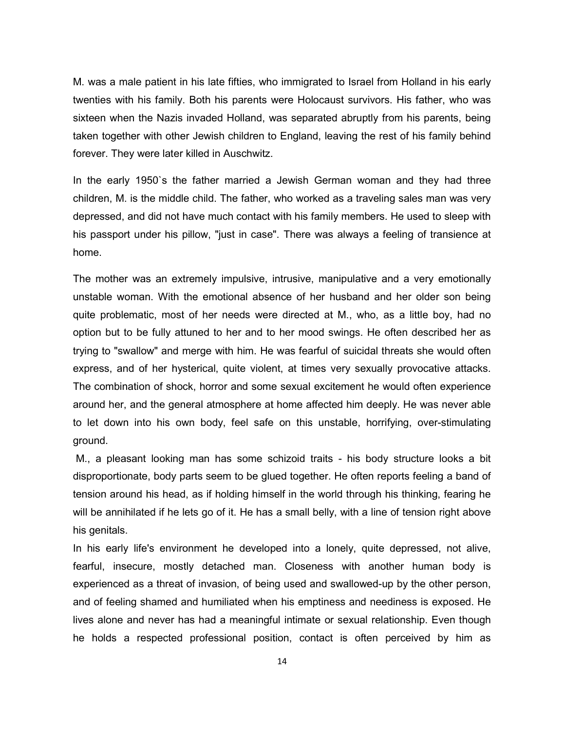M. was a male patient in his late fifties, who immigrated to Israel from Holland in his early twenties with his family. Both his parents were Holocaust survivors. His father, who was sixteen when the Nazis invaded Holland, was separated abruptly from his parents, being taken together with other Jewish children to England, leaving the rest of his family behind forever. They were later killed in Auschwitz.

In the early 1950`s the father married a Jewish German woman and they had three children, M. is the middle child. The father, who worked as a traveling sales man was very depressed, and did not have much contact with his family members. He used to sleep with his passport under his pillow, "just in case". There was always a feeling of transience at home.

The mother was an extremely impulsive, intrusive, manipulative and a very emotionally unstable woman. With the emotional absence of her husband and her older son being quite problematic, most of her needs were directed at M., who, as a little boy, had no option but to be fully attuned to her and to her mood swings. He often described her as trying to "swallow" and merge with him. He was fearful of suicidal threats she would often express, and of her hysterical, quite violent, at times very sexually provocative attacks. The combination of shock, horror and some sexual excitement he would often experience around her, and the general atmosphere at home affected him deeply. He was never able to let down into his own body, feel safe on this unstable, horrifying, over-stimulating ground.

M., a pleasant looking man has some schizoid traits - his body structure looks a bit disproportionate, body parts seem to be glued together. He often reports feeling a band of tension around his head, as if holding himself in the world through his thinking, fearing he will be annihilated if he lets go of it. He has a small belly, with a line of tension right above his genitals.

In his early life's environment he developed into a lonely, quite depressed, not alive, fearful, insecure, mostly detached man. Closeness with another human body is experienced as a threat of invasion, of being used and swallowed-up by the other person, and of feeling shamed and humiliated when his emptiness and neediness is exposed. He lives alone and never has had a meaningful intimate or sexual relationship. Even though he holds a respected professional position, contact is often perceived by him as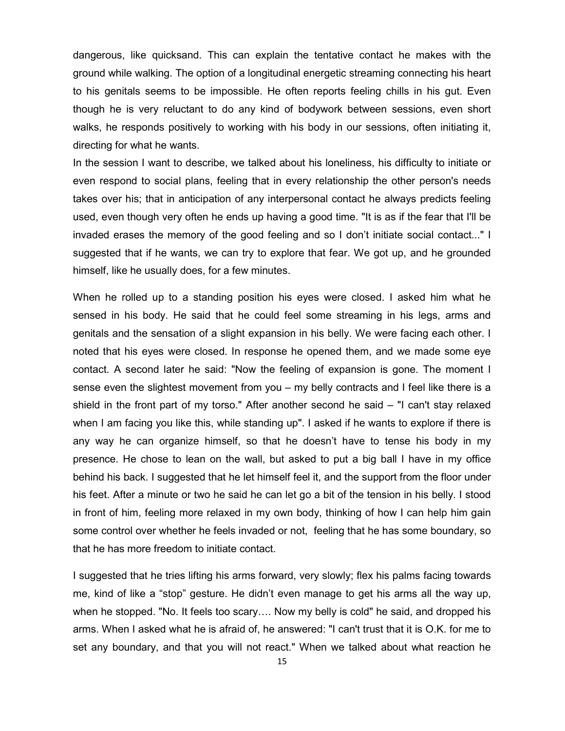dangerous, like quicksand. This can explain the tentative contact he makes with the ground while walking. The option of a longitudinal energetic streaming connecting his heart to his genitals seems to be impossible. He often reports feeling chills in his gut. Even though he is very reluctant to do any kind of bodywork between sessions, even short walks, he responds positively to working with his body in our sessions, often initiating it, directing for what he wants.

In the session I want to describe, we talked about his loneliness, his difficulty to initiate or even respond to social plans, feeling that in every relationship the other person's needs takes over his; that in anticipation of any interpersonal contact he always predicts feeling used, even though very often he ends up having a good time. "It is as if the fear that I'll be invaded erases the memory of the good feeling and so I don't initiate social contact..." I suggested that if he wants, we can try to explore that fear. We got up, and he grounded himself, like he usually does, for a few minutes.

When he rolled up to a standing position his eyes were closed. I asked him what he sensed in his body. He said that he could feel some streaming in his legs, arms and genitals and the sensation of a slight expansion in his belly. We were facing each other. I noted that his eyes were closed. In response he opened them, and we made some eye contact. A second later he said: "Now the feeling of expansion is gone. The moment I sense even the slightest movement from you – my belly contracts and I feel like there is a shield in the front part of my torso." After another second he said – "I can't stay relaxed when I am facing you like this, while standing up". I asked if he wants to explore if there is any way he can organize himself, so that he doesn't have to tense his body in my presence. He chose to lean on the wall, but asked to put a big ball I have in my office behind his back. I suggested that he let himself feel it, and the support from the floor under his feet. After a minute or two he said he can let go a bit of the tension in his belly. I stood in front of him, feeling more relaxed in my own body, thinking of how I can help him gain some control over whether he feels invaded or not, feeling that he has some boundary, so that he has more freedom to initiate contact.

I suggested that he tries lifting his arms forward, very slowly; flex his palms facing towards me, kind of like a "stop" gesture. He didn't even manage to get his arms all the way up, when he stopped. "No. It feels too scary…. Now my belly is cold" he said, and dropped his arms. When I asked what he is afraid of, he answered: "I can't trust that it is O.K. for me to set any boundary, and that you will not react." When we talked about what reaction he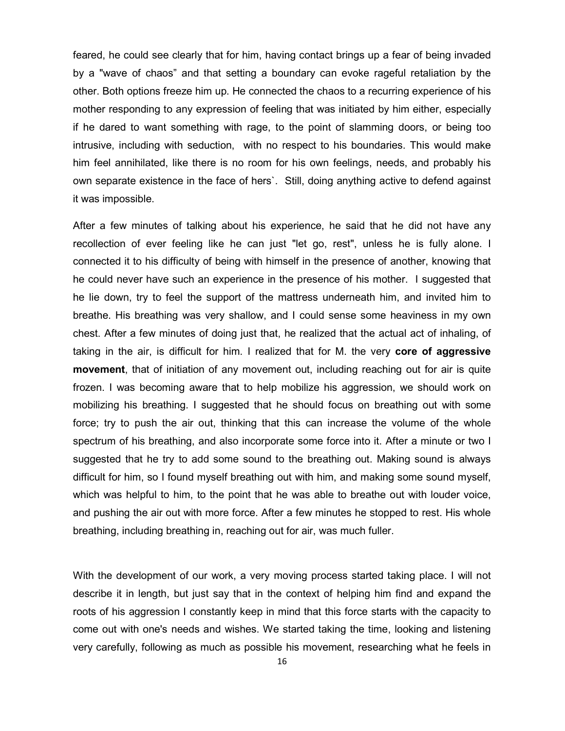feared, he could see clearly that for him, having contact brings up a fear of being invaded by a "wave of chaos" and that setting a boundary can evoke rageful retaliation by the other. Both options freeze him up. He connected the chaos to a recurring experience of his mother responding to any expression of feeling that was initiated by him either, especially if he dared to want something with rage, to the point of slamming doors, or being too intrusive, including with seduction, with no respect to his boundaries. This would make him feel annihilated, like there is no room for his own feelings, needs, and probably his own separate existence in the face of hers`. Still, doing anything active to defend against it was impossible.

After a few minutes of talking about his experience, he said that he did not have any recollection of ever feeling like he can just "let go, rest", unless he is fully alone. I connected it to his difficulty of being with himself in the presence of another, knowing that he could never have such an experience in the presence of his mother. I suggested that he lie down, try to feel the support of the mattress underneath him, and invited him to breathe. His breathing was very shallow, and I could sense some heaviness in my own chest. After a few minutes of doing just that, he realized that the actual act of inhaling, of taking in the air, is difficult for him. I realized that for M. the very **core of aggressive movement**, that of initiation of any movement out, including reaching out for air is quite frozen. I was becoming aware that to help mobilize his aggression, we should work on mobilizing his breathing. I suggested that he should focus on breathing out with some force; try to push the air out, thinking that this can increase the volume of the whole spectrum of his breathing, and also incorporate some force into it. After a minute or two I suggested that he try to add some sound to the breathing out. Making sound is always difficult for him, so I found myself breathing out with him, and making some sound myself, which was helpful to him, to the point that he was able to breathe out with louder voice, and pushing the air out with more force. After a few minutes he stopped to rest. His whole breathing, including breathing in, reaching out for air, was much fuller.

With the development of our work, a very moving process started taking place. I will not describe it in length, but just say that in the context of helping him find and expand the roots of his aggression I constantly keep in mind that this force starts with the capacity to come out with one's needs and wishes. We started taking the time, looking and listening very carefully, following as much as possible his movement, researching what he feels in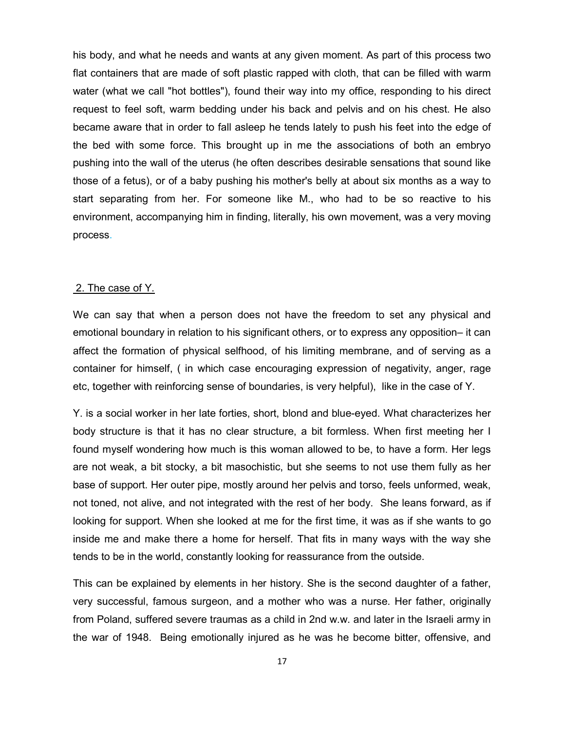his body, and what he needs and wants at any given moment. As part of this process two flat containers that are made of soft plastic rapped with cloth, that can be filled with warm water (what we call "hot bottles"), found their way into my office, responding to his direct request to feel soft, warm bedding under his back and pelvis and on his chest. He also became aware that in order to fall asleep he tends lately to push his feet into the edge of the bed with some force. This brought up in me the associations of both an embryo pushing into the wall of the uterus (he often describes desirable sensations that sound like those of a fetus), or of a baby pushing his mother's belly at about six months as a way to start separating from her. For someone like M., who had to be so reactive to his environment, accompanying him in finding, literally, his own movement, was a very moving process.

#### 2. The case of Y.

We can say that when a person does not have the freedom to set any physical and emotional boundary in relation to his significant others, or to express any opposition– it can affect the formation of physical selfhood, of his limiting membrane, and of serving as a container for himself, ( in which case encouraging expression of negativity, anger, rage etc, together with reinforcing sense of boundaries, is very helpful), like in the case of Y.

Y. is a social worker in her late forties, short, blond and blue-eyed. What characterizes her body structure is that it has no clear structure, a bit formless. When first meeting her I found myself wondering how much is this woman allowed to be, to have a form. Her legs are not weak, a bit stocky, a bit masochistic, but she seems to not use them fully as her base of support. Her outer pipe, mostly around her pelvis and torso, feels unformed, weak, not toned, not alive, and not integrated with the rest of her body. She leans forward, as if looking for support. When she looked at me for the first time, it was as if she wants to go inside me and make there a home for herself. That fits in many ways with the way she tends to be in the world, constantly looking for reassurance from the outside.

This can be explained by elements in her history. She is the second daughter of a father, very successful, famous surgeon, and a mother who was a nurse. Her father, originally from Poland, suffered severe traumas as a child in 2nd w.w. and later in the Israeli army in the war of 1948. Being emotionally injured as he was he become bitter, offensive, and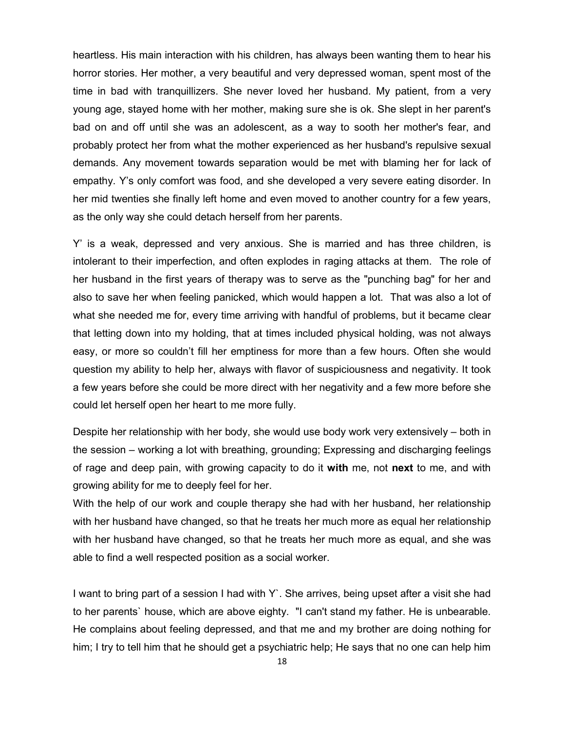heartless. His main interaction with his children, has always been wanting them to hear his horror stories. Her mother, a very beautiful and very depressed woman, spent most of the time in bad with tranquillizers. She never loved her husband. My patient, from a very young age, stayed home with her mother, making sure she is ok. She slept in her parent's bad on and off until she was an adolescent, as a way to sooth her mother's fear, and probably protect her from what the mother experienced as her husband's repulsive sexual demands. Any movement towards separation would be met with blaming her for lack of empathy. Y's only comfort was food, and she developed a very severe eating disorder. In her mid twenties she finally left home and even moved to another country for a few years, as the only way she could detach herself from her parents.

Y' is a weak, depressed and very anxious. She is married and has three children, is intolerant to their imperfection, and often explodes in raging attacks at them. The role of her husband in the first years of therapy was to serve as the "punching bag" for her and also to save her when feeling panicked, which would happen a lot. That was also a lot of what she needed me for, every time arriving with handful of problems, but it became clear that letting down into my holding, that at times included physical holding, was not always easy, or more so couldn't fill her emptiness for more than a few hours. Often she would question my ability to help her, always with flavor of suspiciousness and negativity. It took a few years before she could be more direct with her negativity and a few more before she could let herself open her heart to me more fully.

Despite her relationship with her body, she would use body work very extensively – both in the session – working a lot with breathing, grounding; Expressing and discharging feelings of rage and deep pain, with growing capacity to do it **with** me, not **next** to me, and with growing ability for me to deeply feel for her.

With the help of our work and couple therapy she had with her husband, her relationship with her husband have changed, so that he treats her much more as equal her relationship with her husband have changed, so that he treats her much more as equal, and she was able to find a well respected position as a social worker.

I want to bring part of a session I had with Y`. She arrives, being upset after a visit she had to her parents` house, which are above eighty. "I can't stand my father. He is unbearable. He complains about feeling depressed, and that me and my brother are doing nothing for him; I try to tell him that he should get a psychiatric help; He says that no one can help him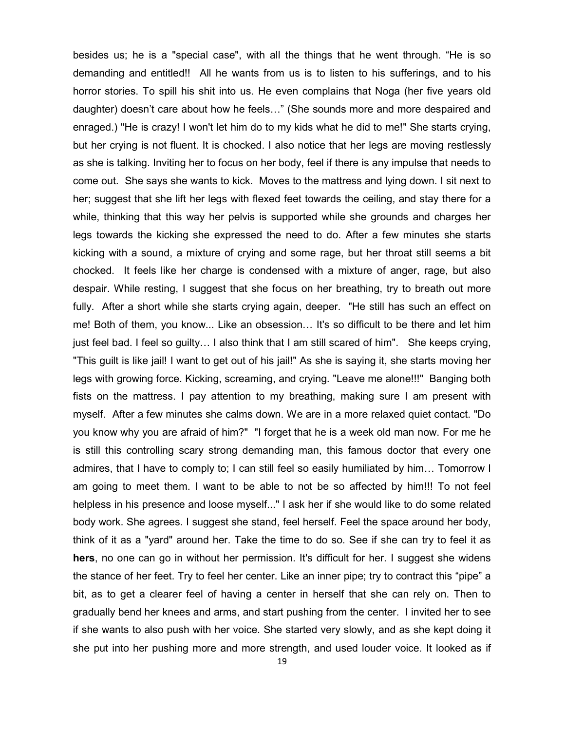besides us; he is a "special case", with all the things that he went through. "He is so demanding and entitled!! All he wants from us is to listen to his sufferings, and to his horror stories. To spill his shit into us. He even complains that Noga (her five years old daughter) doesn't care about how he feels…" (She sounds more and more despaired and enraged.) "He is crazy! I won't let him do to my kids what he did to me!" She starts crying, but her crying is not fluent. It is chocked. I also notice that her legs are moving restlessly as she is talking. Inviting her to focus on her body, feel if there is any impulse that needs to come out. She says she wants to kick. Moves to the mattress and lying down. I sit next to her; suggest that she lift her legs with flexed feet towards the ceiling, and stay there for a while, thinking that this way her pelvis is supported while she grounds and charges her legs towards the kicking she expressed the need to do. After a few minutes she starts kicking with a sound, a mixture of crying and some rage, but her throat still seems a bit chocked. It feels like her charge is condensed with a mixture of anger, rage, but also despair. While resting, I suggest that she focus on her breathing, try to breath out more fully. After a short while she starts crying again, deeper. "He still has such an effect on me! Both of them, you know... Like an obsession… It's so difficult to be there and let him just feel bad. I feel so guilty… I also think that I am still scared of him". She keeps crying, "This guilt is like jail! I want to get out of his jail!" As she is saying it, she starts moving her legs with growing force. Kicking, screaming, and crying. "Leave me alone!!!" Banging both fists on the mattress. I pay attention to my breathing, making sure I am present with myself. After a few minutes she calms down. We are in a more relaxed quiet contact. "Do you know why you are afraid of him?" "I forget that he is a week old man now. For me he is still this controlling scary strong demanding man, this famous doctor that every one admires, that I have to comply to; I can still feel so easily humiliated by him… Tomorrow I am going to meet them. I want to be able to not be so affected by him!!! To not feel helpless in his presence and loose myself..." I ask her if she would like to do some related body work. She agrees. I suggest she stand, feel herself. Feel the space around her body, think of it as a "yard" around her. Take the time to do so. See if she can try to feel it as **hers**, no one can go in without her permission. It's difficult for her. I suggest she widens the stance of her feet. Try to feel her center. Like an inner pipe; try to contract this "pipe" a bit, as to get a clearer feel of having a center in herself that she can rely on. Then to gradually bend her knees and arms, and start pushing from the center. I invited her to see if she wants to also push with her voice. She started very slowly, and as she kept doing it she put into her pushing more and more strength, and used louder voice. It looked as if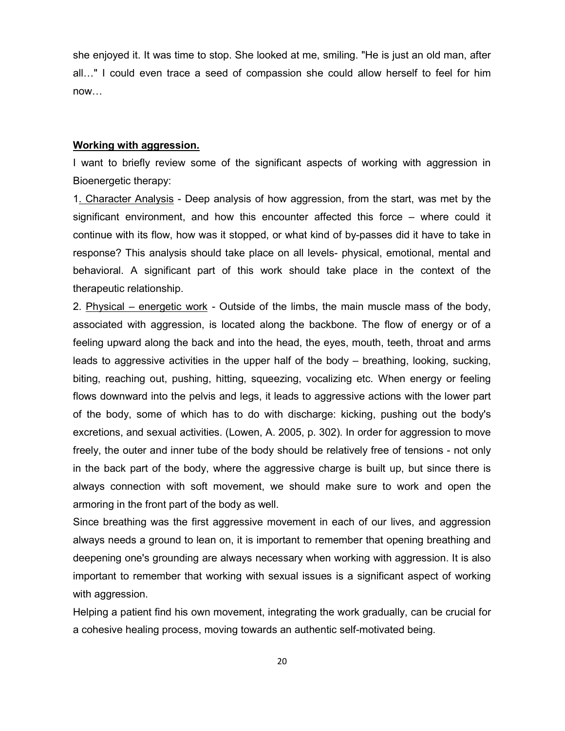she enjoyed it. It was time to stop. She looked at me, smiling. "He is just an old man, after all…" I could even trace a seed of compassion she could allow herself to feel for him now…

#### **Working with aggression.**

I want to briefly review some of the significant aspects of working with aggression in Bioenergetic therapy:

1. Character Analysis - Deep analysis of how aggression, from the start, was met by the significant environment, and how this encounter affected this force – where could it continue with its flow, how was it stopped, or what kind of by-passes did it have to take in response? This analysis should take place on all levels- physical, emotional, mental and behavioral. A significant part of this work should take place in the context of the therapeutic relationship.

2. Physical – energetic work - Outside of the limbs, the main muscle mass of the body, associated with aggression, is located along the backbone. The flow of energy or of a feeling upward along the back and into the head, the eyes, mouth, teeth, throat and arms leads to aggressive activities in the upper half of the body – breathing, looking, sucking, biting, reaching out, pushing, hitting, squeezing, vocalizing etc. When energy or feeling flows downward into the pelvis and legs, it leads to aggressive actions with the lower part of the body, some of which has to do with discharge: kicking, pushing out the body's excretions, and sexual activities. (Lowen, A. 2005, p. 302). In order for aggression to move freely, the outer and inner tube of the body should be relatively free of tensions - not only in the back part of the body, where the aggressive charge is built up, but since there is always connection with soft movement, we should make sure to work and open the armoring in the front part of the body as well.

Since breathing was the first aggressive movement in each of our lives, and aggression always needs a ground to lean on, it is important to remember that opening breathing and deepening one's grounding are always necessary when working with aggression. It is also important to remember that working with sexual issues is a significant aspect of working with aggression.

Helping a patient find his own movement, integrating the work gradually, can be crucial for a cohesive healing process, moving towards an authentic self-motivated being.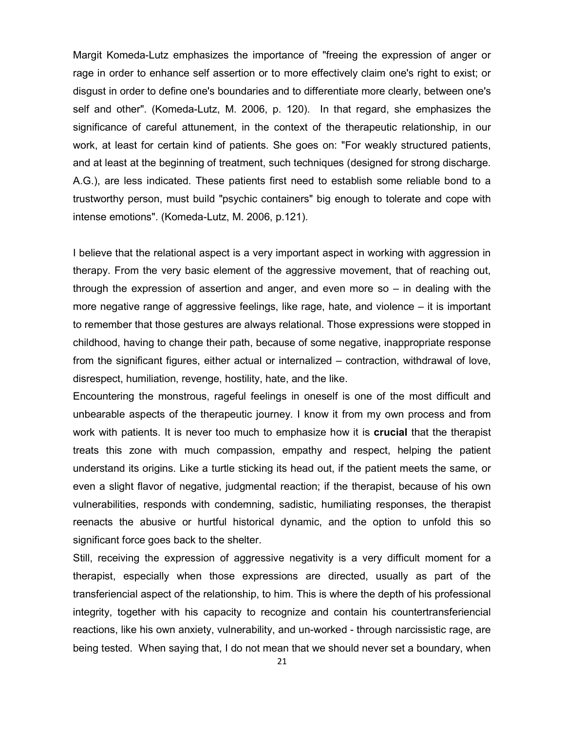Margit Komeda-Lutz emphasizes the importance of "freeing the expression of anger or rage in order to enhance self assertion or to more effectively claim one's right to exist; or disgust in order to define one's boundaries and to differentiate more clearly, between one's self and other". (Komeda-Lutz, M. 2006, p. 120). In that regard, she emphasizes the significance of careful attunement, in the context of the therapeutic relationship, in our work, at least for certain kind of patients. She goes on: "For weakly structured patients, and at least at the beginning of treatment, such techniques (designed for strong discharge. A.G.), are less indicated. These patients first need to establish some reliable bond to a trustworthy person, must build "psychic containers" big enough to tolerate and cope with intense emotions". (Komeda-Lutz, M. 2006, p.121).

I believe that the relational aspect is a very important aspect in working with aggression in therapy. From the very basic element of the aggressive movement, that of reaching out, through the expression of assertion and anger, and even more so – in dealing with the more negative range of aggressive feelings, like rage, hate, and violence – it is important to remember that those gestures are always relational. Those expressions were stopped in childhood, having to change their path, because of some negative, inappropriate response from the significant figures, either actual or internalized – contraction, withdrawal of love, disrespect, humiliation, revenge, hostility, hate, and the like.

Encountering the monstrous, rageful feelings in oneself is one of the most difficult and unbearable aspects of the therapeutic journey. I know it from my own process and from work with patients. It is never too much to emphasize how it is **crucial** that the therapist treats this zone with much compassion, empathy and respect, helping the patient understand its origins. Like a turtle sticking its head out, if the patient meets the same, or even a slight flavor of negative, judgmental reaction; if the therapist, because of his own vulnerabilities, responds with condemning, sadistic, humiliating responses, the therapist reenacts the abusive or hurtful historical dynamic, and the option to unfold this so significant force goes back to the shelter.

Still, receiving the expression of aggressive negativity is a very difficult moment for a therapist, especially when those expressions are directed, usually as part of the transferiencial aspect of the relationship, to him. This is where the depth of his professional integrity, together with his capacity to recognize and contain his countertransferiencial reactions, like his own anxiety, vulnerability, and un-worked - through narcissistic rage, are being tested. When saying that, I do not mean that we should never set a boundary, when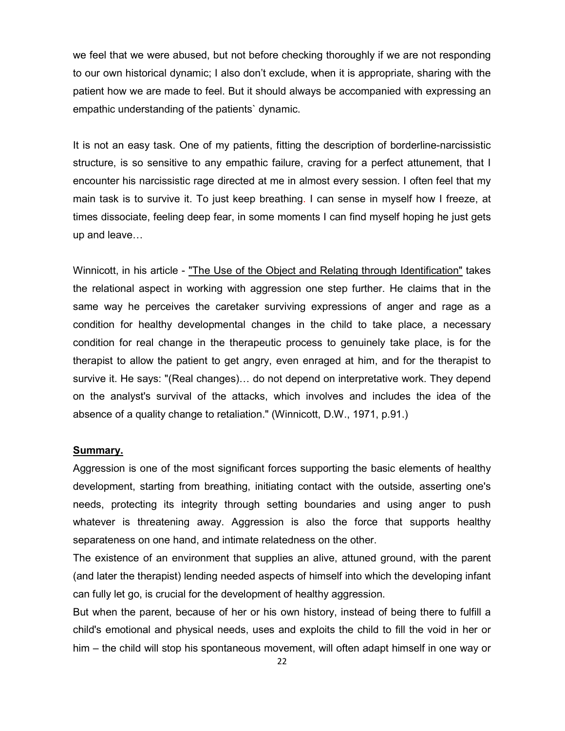we feel that we were abused, but not before checking thoroughly if we are not responding to our own historical dynamic; I also don't exclude, when it is appropriate, sharing with the patient how we are made to feel. But it should always be accompanied with expressing an empathic understanding of the patients` dynamic.

It is not an easy task. One of my patients, fitting the description of borderline-narcissistic structure, is so sensitive to any empathic failure, craving for a perfect attunement, that I encounter his narcissistic rage directed at me in almost every session. I often feel that my main task is to survive it. To just keep breathing. I can sense in myself how I freeze, at times dissociate, feeling deep fear, in some moments I can find myself hoping he just gets up and leave…

Winnicott, in his article - "The Use of the Object and Relating through Identification" takes the relational aspect in working with aggression one step further. He claims that in the same way he perceives the caretaker surviving expressions of anger and rage as a condition for healthy developmental changes in the child to take place, a necessary condition for real change in the therapeutic process to genuinely take place, is for the therapist to allow the patient to get angry, even enraged at him, and for the therapist to survive it. He says: "(Real changes)… do not depend on interpretative work. They depend on the analyst's survival of the attacks, which involves and includes the idea of the absence of a quality change to retaliation." (Winnicott, D.W., 1971, p.91.)

## **Summary.**

Aggression is one of the most significant forces supporting the basic elements of healthy development, starting from breathing, initiating contact with the outside, asserting one's needs, protecting its integrity through setting boundaries and using anger to push whatever is threatening away. Aggression is also the force that supports healthy separateness on one hand, and intimate relatedness on the other.

The existence of an environment that supplies an alive, attuned ground, with the parent (and later the therapist) lending needed aspects of himself into which the developing infant can fully let go, is crucial for the development of healthy aggression.

But when the parent, because of her or his own history, instead of being there to fulfill a child's emotional and physical needs, uses and exploits the child to fill the void in her or him – the child will stop his spontaneous movement, will often adapt himself in one way or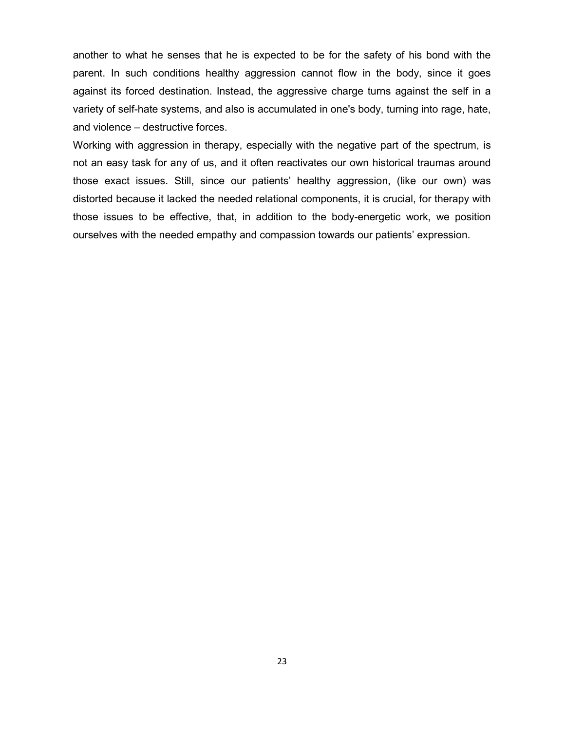another to what he senses that he is expected to be for the safety of his bond with the parent. In such conditions healthy aggression cannot flow in the body, since it goes against its forced destination. Instead, the aggressive charge turns against the self in a variety of self-hate systems, and also is accumulated in one's body, turning into rage, hate, and violence – destructive forces.

Working with aggression in therapy, especially with the negative part of the spectrum, is not an easy task for any of us, and it often reactivates our own historical traumas around those exact issues. Still, since our patients' healthy aggression, (like our own) was distorted because it lacked the needed relational components, it is crucial, for therapy with those issues to be effective, that, in addition to the body-energetic work, we position ourselves with the needed empathy and compassion towards our patients' expression.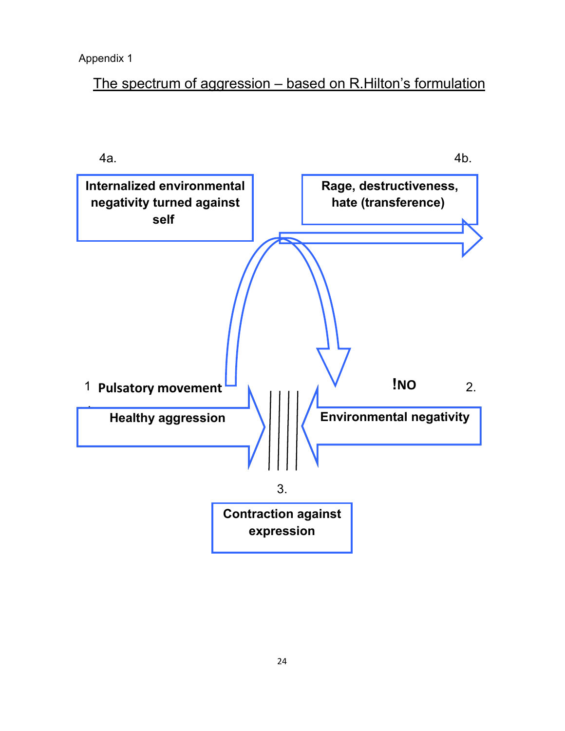Appendix 1

The spectrum of aggression – based on R.Hilton's formulation